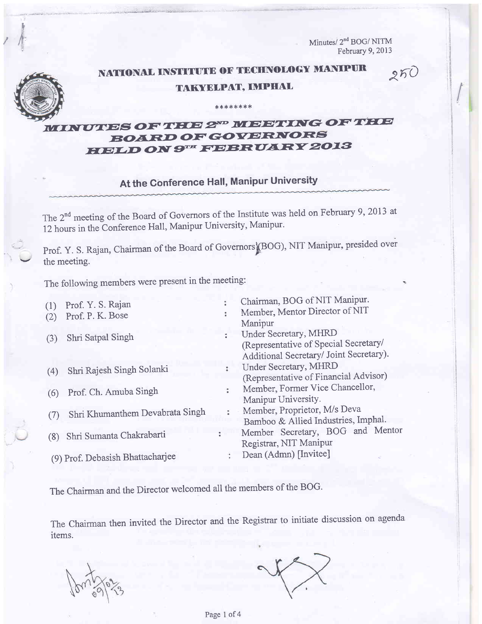$\mathcal{L}$   $\mathbb{R}$  Minutes/ 2<sup>nd</sup> BOG/ NITM February 9, 2013

 $250$ 

I

NATIONAL INSTITUTE OF TECHNOLOGY MANIPUR

#### TAKYELPAT, IMPHAL

\* \*\*\* \* \*\*\*

### $\boldsymbol{W}$ ovues of the  $\boldsymbol{2^{\mathrm{rp}}}$  wee ting of the **EOARD OF GOVERNORS**  $E$ ELD ON 9THE FEBRUARY 2013

## At the Conference Hall, Manipur University

The 2<sup>nd</sup> meeting of the Board of Governors of the Institute was held on February 9, 2013 at 12 hours in the Conference Hall, Manipur University, Manipur.

Prof. Y. S. Rajan, Chairman of the Board of Governors (BOG), NIT Manipur, presided over the meeting.

The following members were present in the meeting:

 $-$  -f-weight of  $\mathcal{E}$ 

| (1)<br>(2)                       | Prof. Y. S. Rajan<br>Prof. P. K. Bose |   | Chairman, BOG of NIT Manipur.<br>Member, Mentor Director of NIT<br>Manipur                                |
|----------------------------------|---------------------------------------|---|-----------------------------------------------------------------------------------------------------------|
| (3)                              | Shri Satpal Singh                     |   | Under Secretary, MHRD<br>(Representative of Special Secretary/<br>Additional Secretary/ Joint Secretary). |
| (4)                              | Shri Rajesh Singh Solanki             |   | <b>Under Secretary, MHRD</b><br>(Representative of Financial Advisor)                                     |
| (6)                              | Prof. Ch. Amuba Singh                 | ÷ | Member, Former Vice Chancellor,<br>Manipur University.                                                    |
| (7)                              | Shri Khumanthem Devabrata Singh       | ÷ | Member, Proprietor, M/s Deva<br>Bamboo & Allied Industries, Imphal.                                       |
| (8)                              | Shri Sumanta Chakrabarti              |   | Member Secretary, BOG and Mentor<br>Registrar, NIT Manipur                                                |
| (9) Prof. Debasish Bhattacharjee |                                       |   | Dean (Admn) [Invitee]                                                                                     |

The Chairman and the Director welcomed all the members of the BOG.

The Chairman then invited the Director and the Registrar to initiate discussion on agenda items.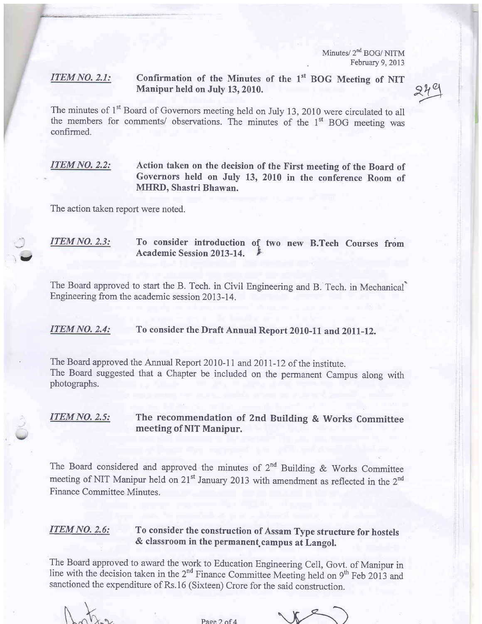Minutes/  $2<sup>nd</sup>$  BOG/ NITM February 9, 2013

 $24$ 

#### ITEM NO. 2.1: Confirmation of the Minutes of the 1<sup>st</sup> BOG Meeting of NIT Manipur held on July 13,2010.

The minutes of 1<sup>st</sup> Board of Governors meeting held on July 13, 2010 were circulated to all the members for comments/ observations. The minutes of the 1<sup>st</sup> BOG meeting was confirmed.

ITEM NO. 2.2: Action taken on the decision of the First meeting of the Board of Governors held on July 13, 2010 in the conference Room of MHRD, Shastri Bhawan.

The action taken report were noted.

 $\sqrt{2}$ 

ITEM NO. 2.3: To consider introduction of two new B.Tech Courses from Academic Session 2013-14.

The Board approved to start the B. Tech. in Civil Engineering and B. Tech. in Mechanical Engineering from the academic session 2013-14.

#### ITEM NO. 2.4: To consider the Draft Annual Report 2010-11 and 2011-12.

The Board approved the Annual Report 2010-11 and 20ll-12 of the institute. The Board suggested that a Chapter be included on the permanent Campus along with photographs.

**ITEM NO. 2.5:** The recommendation of 2nd Building & Works Committee meeting of NIT Manipur.

The Board considered and approved the minutes of  $2^{nd}$  Building & Works Committee meeting of NIT Manipur held on  $21^{st}$  January 2013 with amendment as reflected in the  $2^{nd}$ Finance Committee Minutes.

#### **ITEM NO. 2.6:** To consider the construction of Assam Type structure for hostels & classroom in the permanent campus at Langol.

The Board approved to award the work to Education Engineering Cell, Govt. of Manipur in line with the decision taken in the  $2<sup>nd</sup>$  Finance Committee Meeting held on 9<sup>th</sup> Feb 2013 and sanctioned the expenditure of Rs.16 (Sixteen) Crore for the said construction.

Page  $2$  of  $4$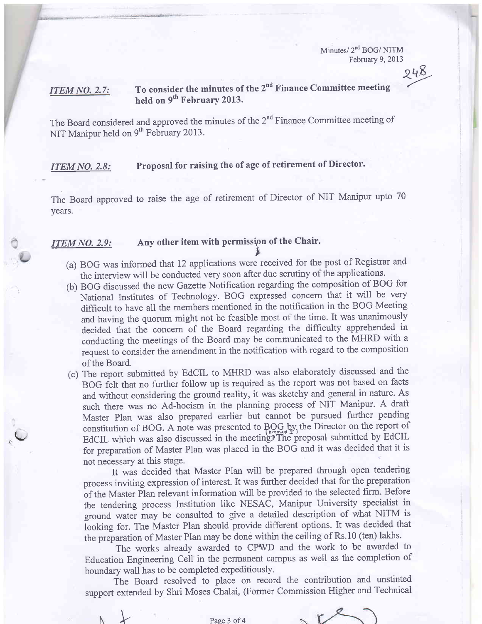Minutes/  $2<sup>nd</sup>$  BOG/ NITM February 9, 2013

# \*

#### ITEM NO. 2.7: To consider the minutes of the 2<sup>nd</sup> Finance Committee meeting held on 9<sup>th</sup> February 2013.

The Board considered and approved the minutes of the  $2<sup>nd</sup>$  Finance Committee meeting of NIT Manipur held on 9<sup>th</sup> February 2013.

#### ITEM NO. 2.8: Proposal for raising the of age of retirement of Director.

The Board approved to raise the age of retirement of Director of NIT Manipur upto <sup>70</sup> vears.

#### ITEM NO. 2.9: Any other item with permission of the Chair.

 $\overline{Q}$ 

(a) BOG was informed that 12 applications were received for the post of Registrar and the interview will be conducted very soon after due scrutiny of the applications.

F

- (b) BOG discussed the new Gazette Notification regarding the composition of BOG for National Institutes of Technology. BOG expressed concern that it will be very diffrcult to have all the members mentioned in the notification in the BOG Meeting and having the quorum might not be feasible most of the time. It was unanimously decided that the concern of the Board regarding the difficulty apprehended in conducting the meetings of the Board may be communicated to the MHRD with <sup>a</sup> request to consider the amendment in the notification with regard to the composition of the Board.
- (c) The report submitted by EdCIL to MHRD was also elaborateiy discussed and the BOG felt that no further follow up is required as the report was not based on facts and without considering the ground reality, it was sketchy and general in nature. As such there was no Ad-hocism in the planning process of NIT Manipur. A draft Master Plan was also prepared earlier but cannot be pursued further pending constitution of BOG. A note was presented to  $BOG$  by the Director on the report of EdCIL which was also discussed in the meeting  $\widetilde{T}$  the proposal submitted by EdCIL for preparation of Master Plan was placed in the BOG and it was decided that it is not necessary at this stage.

It was decided that Master Plan will be prepared through open tendering process inviting expression of interest. It was further decided that for the preparation of the Master Plan relevant information will be provided to the selected firm. Before the tendering process Institution like NESAC, Manipur University specialist in ground water may be consulted to give a detailed description of what NITM is looking for. The Master Plan should provide different options. It was decided that the preparation of Master Plan may be done within the ceiling of Rs.10 (ten) lakhs.

The works already awarded to CPWD and the work to be awarded to Education Engineering Cell in the permanent campus as well as the completion of boundary wall has to be completed expeditiously.

The Board resolved to place on record the contribution and unstinted support extended by Shri Moses Chalai, (Former Commission Higher and Technical

Page 3 of 4